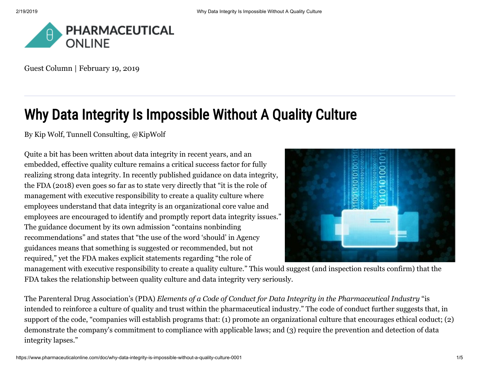

Guest Column | February 19, 2019

# Why Data Integrity Is Impossible Without A Quality Culture

By [Kip Wolf](https://www.pharmaceuticalonline.com/author/kip-wolf), Tunnell Consulting, [@KipWolf](https://twitter.com/kipwolf)

Quite a bit has been written about data integrity in recent years, and an embedded, effective quality culture remains a critical success factor for fully realizing strong data integrity. In recently published guidance on data integrity, the FDA (2018) even goes so far as to state very directly that "it is the role of management with executive responsibility to create a quality culture where employees understand that data integrity is an organizational core value and employees are encouraged to identify and promptly report data integrity issues." The guidance document by its own admission "contains nonbinding recommendations" and states that "the use of the word 'should' in Agency guidances means that something is suggested or recommended, but not required," yet the FDA makes explicit statements regarding "the role of



management with executive responsibility to create a quality culture." This would suggest (and inspection results confirm) that the FDA takes the relationship between quality culture and data integrity very seriously.

The Parenteral Drug Association's (PDA) *Elements of a Code of Conduct for Data Integrity in the Pharmaceutical Industry* "is intended to reinforce a culture of quality and trust within the pharmaceutical industry." The code of conduct further suggests that, in support of the code, "companies will establish programs that: (1) promote an organizational culture that encourages ethical coduct; (2) demonstrate the company's commitment to compliance with applicable laws; and (3) require the prevention and detection of data integrity lapses."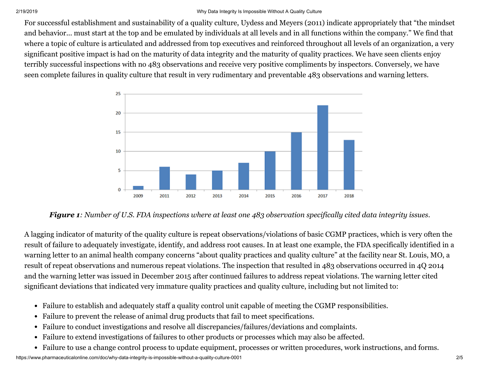#### 2/19/2019 Why Data Integrity Is Impossible Without A Quality Culture

For successful establishment and sustainability of a quality culture, Uydess and Meyers (2011) indicate appropriately that "the mindset and behavior... must start at the top and be emulated by individuals at all levels and in all functions within the company." We find that where a topic of culture is articulated and addressed from top executives and reinforced throughout all levels of an organization, a very significant positive impact is had on the maturity of data integrity and the maturity of quality practices. We have seen clients enjoy terribly successful inspections with no 483 observations and receive very positive compliments by inspectors. Conversely, we have seen complete failures in quality culture that result in very rudimentary and preventable 483 observations and warning letters.



*Figure 1: Number of U.S. FDA inspections where at least one 483 observation specifically cited data integrity issues.*

A lagging indicator of maturity of the quality culture is repeat observations/violations of basic CGMP practices, which is very often the result of failure to adequately investigate, identify, and address root causes. In at least one example, the FDA specifically identified in a warning letter to an animal health company concerns "about quality practices and quality culture" at the facility near St. Louis, MO, a result of repeat observations and numerous repeat violations. The inspection that resulted in 483 observations occurred in 4Q 2014 and the warning letter was issued in December 2015 after continued failures to address repeat violations. The warning letter cited significant deviations that indicated very immature quality practices and quality culture, including but not limited to:

- Failure to establish and adequately staff a quality control unit capable of meeting the CGMP responsibilities.
- Failure to prevent the release of animal drug products that fail to meet specifications.
- Failure to conduct investigations and resolve all discrepancies/failures/deviations and complaints.
- Failure to extend investigations of failures to other products or processes which may also be affected.  $\bullet$
- Failure to use a change control process to update equipment, processes or written procedures, work instructions, and forms.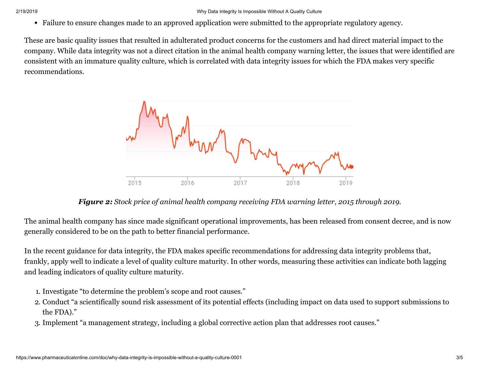Failure to ensure changes made to an approved application were submitted to the appropriate regulatory agency.

These are basic quality issues that resulted in adulterated product concerns for the customers and had direct material impact to the company. While data integrity was not a direct citation in the animal health company warning letter, the issues that were identified are consistent with an immature quality culture, which is correlated with data integrity issues for which the FDA makes very specific recommendations.



*Figure 2: Stock price of animal health company receiving FDA warning letter, 2015 through 2019.*

The animal health company has since made significant operational improvements, has been released from consent decree, and is now generally considered to be on the path to better financial performance.

In the recent guidance for data integrity, the FDA makes specific recommendations for addressing data integrity problems that, frankly, apply well to indicate a level of quality culture maturity. In other words, measuring these activities can indicate both lagging and leading indicators of quality culture maturity.

- 1. Investigate "to determine the problem's scope and root causes."
- 2. Conduct "a scientifically sound risk assessment of its potential effects (including impact on data used to support submissions to the FDA)."
- 3. Implement "a management strategy, including a global corrective action plan that addresses root causes."